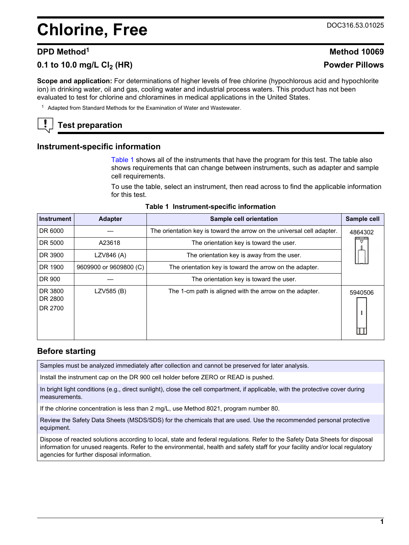# <span id="page-0-0"></span>**Chlorine, Free** DOC316.53.01025

# **0.1 to 10.0 mg/L Cl2 (HR) Powder Pillows**

# **DPD Method<sup>1</sup> Method 10069**

**Scope and application:** For determinations of higher levels of free chlorine (hypochlorous acid and hypochlorite ion) in drinking water, oil and gas, cooling water and industrial process waters. This product has not been evaluated to test for chlorine and chloramines in medical applications in the United States.

<sup>1</sup> Adapted from Standard Methods for the Examination of Water and Wastewater.

# **Test preparation**

#### **Instrument-specific information**

Table 1 shows all of the instruments that have the program for this test. The table also shows requirements that can change between instruments, such as adapter and sample cell requirements.

To use the table, select an instrument, then read across to find the applicable information for this test.

| Instrument                                                                                             | <b>Adapter</b>                          | Sample cell orientation                                                | Sample cell |
|--------------------------------------------------------------------------------------------------------|-----------------------------------------|------------------------------------------------------------------------|-------------|
| DR 6000                                                                                                |                                         | The orientation key is toward the arrow on the universal cell adapter. | 4864302     |
| DR 5000                                                                                                | A23618                                  | The orientation key is toward the user.                                | ▽           |
| DR 3900                                                                                                | LZV846 (A)                              | The orientation key is away from the user.                             |             |
| DR 1900                                                                                                | 9609900 or 9609800 (C)                  | The orientation key is toward the arrow on the adapter.                |             |
| DR 900                                                                                                 | The orientation key is toward the user. |                                                                        |             |
| DR 3800<br>LZV585 (B)<br>The 1-cm path is aligned with the arrow on the adapter.<br>DR 2800<br>DR 2700 |                                         |                                                                        | 5940506     |

#### **Table 1 Instrument-specific information**

#### **Before starting**

Samples must be analyzed immediately after collection and cannot be preserved for later analysis.

Install the instrument cap on the DR 900 cell holder before ZERO or READ is pushed.

In bright light conditions (e.g., direct sunlight), close the cell compartment, if applicable, with the protective cover during measurements.

If the chlorine concentration is less than 2 mg/L, use Method 8021, program number 80.

Review the Safety Data Sheets (MSDS/SDS) for the chemicals that are used. Use the recommended personal protective equipment.

Dispose of reacted solutions according to local, state and federal regulations. Refer to the Safety Data Sheets for disposal information for unused reagents. Refer to the environmental, health and safety staff for your facility and/or local regulatory agencies for further disposal information.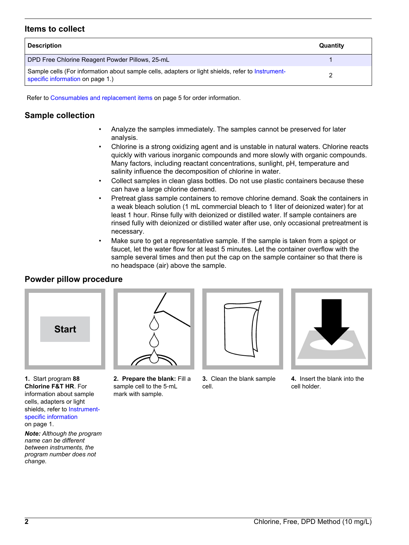### **Items to collect**

| <b>Description</b>                                                                                                                    | Quantity |
|---------------------------------------------------------------------------------------------------------------------------------------|----------|
| DPD Free Chlorine Reagent Powder Pillows, 25-mL                                                                                       |          |
| Sample cells (For information about sample cells, adapters or light shields, refer to Instrument-<br>specific information on page 1.) |          |

Refer to [Consumables and replacement items](#page-4-0) on page 5 for order information.

# **Sample collection**

- Analyze the samples immediately. The samples cannot be preserved for later analysis.
- Chlorine is a strong oxidizing agent and is unstable in natural waters. Chlorine reacts quickly with various inorganic compounds and more slowly with organic compounds. Many factors, including reactant concentrations, sunlight, pH, temperature and salinity influence the decomposition of chlorine in water.
- Collect samples in clean glass bottles. Do not use plastic containers because these can have a large chlorine demand.
- Pretreat glass sample containers to remove chlorine demand. Soak the containers in a weak bleach solution (1 mL commercial bleach to 1 liter of deionized water) for at least 1 hour. Rinse fully with deionized or distilled water. If sample containers are rinsed fully with deionized or distilled water after use, only occasional pretreatment is necessary.
- Make sure to get a representative sample. If the sample is taken from a spigot or faucet, let the water flow for at least 5 minutes. Let the container overflow with the sample several times and then put the cap on the sample container so that there is no headspace (air) above the sample.

# **Powder pillow procedure**



**1.** Start program **88 Chlorine F&T HR**. For information about sample cells, adapters or light shields, refer to [Instrument](#page-0-0)[specific information](#page-0-0) on page 1.

*Note: Although the program name can be different between instruments, the program number does not change.*



**2. Prepare the blank:** Fill a sample cell to the 5‑mL mark with sample.



**3.** Clean the blank sample cell.



**4.** Insert the blank into the cell holder.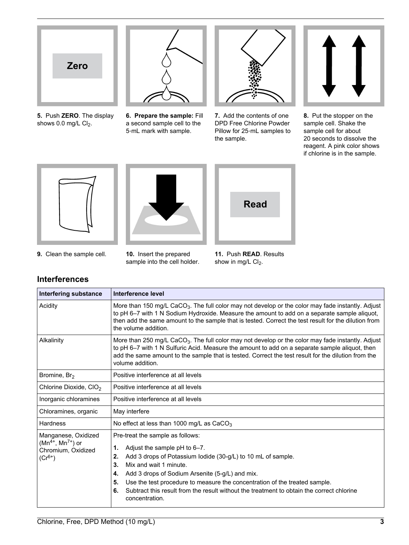

**5.** Push **ZERO**. The display shows  $0.0$  mg/L  $Cl<sub>2</sub>$ .



**6. Prepare the sample:** Fill a second sample cell to the 5‑mL mark with sample.



**7.** Add the contents of one DPD Free Chlorine Powder Pillow for 25‑mL samples to the sample.



**8.** Put the stopper on the sample cell. Shake the sample cell for about 20 seconds to dissolve the reagent. A pink color shows if chlorine is in the sample.







**9.** Clean the sample cell. **10.** Insert the prepared

**Interferences**

sample into the cell holder.

**11.** Push **READ**. Results show in mg/L  $Cl<sub>2</sub>$ .

| <b>Interfering substance</b>                                                        | Interference level                                                                                                                                                                                                                                                                                                                                                                                                                             |  |  |  |
|-------------------------------------------------------------------------------------|------------------------------------------------------------------------------------------------------------------------------------------------------------------------------------------------------------------------------------------------------------------------------------------------------------------------------------------------------------------------------------------------------------------------------------------------|--|--|--|
| Acidity                                                                             | More than 150 mg/L CaCO <sub>3</sub> . The full color may not develop or the color may fade instantly. Adjust<br>to pH 6-7 with 1 N Sodium Hydroxide. Measure the amount to add on a separate sample aliquot,<br>then add the same amount to the sample that is tested. Correct the test result for the dilution from<br>the volume addition.                                                                                                  |  |  |  |
| Alkalinity                                                                          | More than 250 mg/L CaCO <sub>3</sub> . The full color may not develop or the color may fade instantly. Adjust<br>to pH 6-7 with 1 N Sulfuric Acid. Measure the amount to add on a separate sample aliquot, then<br>add the same amount to the sample that is tested. Correct the test result for the dilution from the<br>volume addition.                                                                                                     |  |  |  |
| Bromine, Br <sub>2</sub>                                                            | Positive interference at all levels                                                                                                                                                                                                                                                                                                                                                                                                            |  |  |  |
| Chlorine Dioxide, CIO <sub>2</sub>                                                  | Positive interference at all levels                                                                                                                                                                                                                                                                                                                                                                                                            |  |  |  |
| Inorganic chloramines                                                               | Positive interference at all levels                                                                                                                                                                                                                                                                                                                                                                                                            |  |  |  |
| Chloramines, organic                                                                | May interfere                                                                                                                                                                                                                                                                                                                                                                                                                                  |  |  |  |
| Hardness                                                                            | No effect at less than 1000 mg/L as $CaCO3$                                                                                                                                                                                                                                                                                                                                                                                                    |  |  |  |
| Manganese, Oxidized<br>$(Mn^{4+}, Mn^{7+})$ or<br>Chromium, Oxidized<br>$(Cr^{6+})$ | Pre-treat the sample as follows:<br>Adjust the sample pH to 6-7.<br>1.<br>Add 3 drops of Potassium lodide (30-g/L) to 10 mL of sample.<br>2.<br>Mix and wait 1 minute.<br>3.<br>Add 3 drops of Sodium Arsenite (5-g/L) and mix.<br>4.<br>Use the test procedure to measure the concentration of the treated sample.<br>5.<br>Subtract this result from the result without the treatment to obtain the correct chlorine<br>6.<br>concentration. |  |  |  |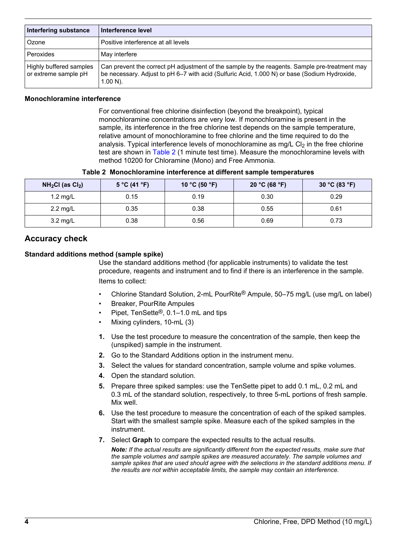| Interfering substance                           | Interference level                                                                                                                                                                                           |
|-------------------------------------------------|--------------------------------------------------------------------------------------------------------------------------------------------------------------------------------------------------------------|
| Ozone                                           | Positive interference at all levels                                                                                                                                                                          |
| Peroxides                                       | May interfere                                                                                                                                                                                                |
| Highly buffered samples<br>or extreme sample pH | Can prevent the correct pH adjustment of the sample by the reagents. Sample pre-treatment may<br>be necessary. Adjust to pH 6–7 with acid (Sulfuric Acid, 1.000 N) or base (Sodium Hydroxide,<br>$1.00 N$ ). |

#### **Monochloramine interference**

For conventional free chlorine disinfection (beyond the breakpoint), typical monochloramine concentrations are very low. If monochloramine is present in the sample, its interference in the free chlorine test depends on the sample temperature, relative amount of monochloramine to free chlorine and the time required to do the analysis. Typical interference levels of monochloramine as  $mg/L$  Cl<sub>2</sub> in the free chlorine test are shown in Table 2 (1 minute test time). Measure the monochloramine levels with method 10200 for Chloramine (Mono) and Free Ammonia.

**Table 2 Monochloramine interference at different sample temperatures**

| $NH2Cl$ (as $Cl2$ ) | 5 °C (41 °F) | 10 °C (50 °F) | 20 °C (68 °F) | 30 °C (83 °F) |
|---------------------|--------------|---------------|---------------|---------------|
| 1.2 mg/L            | 0.15         | 0.19          | 0.30          | 0.29          |
| $2.2 \text{ mg/L}$  | 0.35         | 0.38          | 0.55          | 0.61          |
| $3.2 \text{ mg/L}$  | 0.38         | 0.56          | 0.69          | 0.73          |

# **Accuracy check**

#### **Standard additions method (sample spike)**

Use the standard additions method (for applicable instruments) to validate the test procedure, reagents and instrument and to find if there is an interference in the sample. Items to collect:

- Chlorine Standard Solution, 2-mL PourRite® Ampule, 50–75 mg/L (use mg/L on label)
- Breaker, PourRite Ampules
- Pipet, TenSette®, 0.1–1.0 mL and tips
- Mixing cylinders, 10-mL (3)
- **1.** Use the test procedure to measure the concentration of the sample, then keep the (unspiked) sample in the instrument.
- **2.** Go to the Standard Additions option in the instrument menu.
- **3.** Select the values for standard concentration, sample volume and spike volumes.
- **4.** Open the standard solution.
- **5.** Prepare three spiked samples: use the TenSette pipet to add 0.1 mL, 0.2 mL and 0.3 mL of the standard solution, respectively, to three 5-mL portions of fresh sample. Mix well.
- **6.** Use the test procedure to measure the concentration of each of the spiked samples. Start with the smallest sample spike. Measure each of the spiked samples in the instrument.
- **7.** Select **Graph** to compare the expected results to the actual results.

*Note: If the actual results are significantly different from the expected results, make sure that the sample volumes and sample spikes are measured accurately. The sample volumes and sample spikes that are used should agree with the selections in the standard additions menu. If the results are not within acceptable limits, the sample may contain an interference.*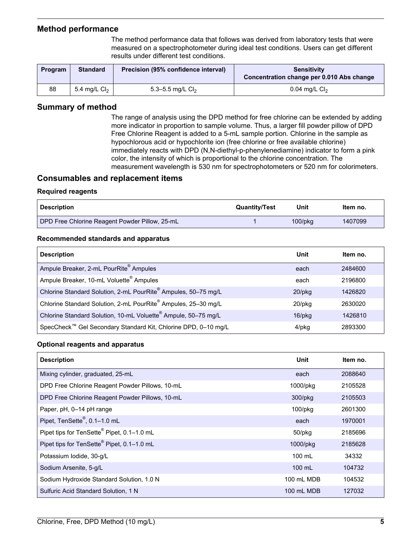### <span id="page-4-0"></span>**Method performance**

The method performance data that follows was derived from laboratory tests that were measured on a spectrophotometer during ideal test conditions. Users can get different results under different test conditions.

| Program | <b>Standard</b> | Precision (95% confidence interval) | <b>Sensitivity</b><br>Concentration change per 0.010 Abs change |
|---------|-----------------|-------------------------------------|-----------------------------------------------------------------|
| 88      | 5.4 mg/L $Cl2$  | 5.3–5.5 mg/L $Cl_2$                 | $0.04$ mg/L $Cl2$                                               |

### **Summary of method**

The range of analysis using the DPD method for free chlorine can be extended by adding more indicator in proportion to sample volume. Thus, a larger fill powder pillow of DPD Free Chlorine Reagent is added to a 5-mL sample portion. Chlorine in the sample as hypochlorous acid or hypochlorite ion (free chlorine or free available chlorine) immediately reacts with DPD (N,N-diethyl-p-phenylenediamine) indicator to form a pink color, the intensity of which is proportional to the chlorine concentration. The measurement wavelength is 530 nm for spectrophotometers or 520 nm for colorimeters.

### **Consumables and replacement items**

#### **Required reagents**

| <b>Description</b>                             | <b>Quantity/Test</b> | Unit          | Item no. |
|------------------------------------------------|----------------------|---------------|----------|
| DPD Free Chlorine Reagent Powder Pillow, 25-mL |                      | $100$ /p $ka$ | 1407099  |

#### **Recommended standards and apparatus**

| <b>Description</b>                                                         | Unit         | Item no. |
|----------------------------------------------------------------------------|--------------|----------|
| Ampule Breaker, 2-mL PourRite <sup>®</sup> Ampules                         | each         | 2484600  |
| Ampule Breaker, 10-mL Voluette <sup>®</sup> Ampules                        | each         | 2196800  |
| Chlorine Standard Solution, 2-mL PourRite® Ampules, 50-75 mg/L             | $20$ /pkq    | 1426820  |
| Chlorine Standard Solution, 2-mL PourRite® Ampules, 25-30 mg/L             | 20/pkg       | 2630020  |
| Chlorine Standard Solution, 10-mL Voluette <sup>®</sup> Ampule, 50-75 mg/L | $16$ /p $kg$ | 1426810  |
| SpecCheck™ Gel Secondary Standard Kit, Chlorine DPD, 0-10 mg/L             | 4/pkg        | 2893300  |

#### **Optional reagents and apparatus**

| <b>Description</b>                                     | Unit             | Item no. |
|--------------------------------------------------------|------------------|----------|
| Mixing cylinder, graduated, 25-mL                      | each             | 2088640  |
| DPD Free Chlorine Reagent Powder Pillows, 10-mL        | 1000/pkg         | 2105528  |
| DPD Free Chlorine Reagent Powder Pillows, 10-mL        | 300/pkg          | 2105503  |
| Paper, pH, 0-14 pH range                               | 100/pkg          | 2601300  |
| Pipet, TenSette <sup>®</sup> , 0.1-1.0 mL              | each             | 1970001  |
| Pipet tips for TenSette® Pipet, 0.1-1.0 mL             | 50/pkg           | 2185696  |
| Pipet tips for TenSette <sup>®</sup> Pipet, 0.1-1.0 mL | 1000/pkg         | 2185628  |
| Potassium Iodide, 30-g/L                               | $100 \text{ mL}$ | 34332    |
| Sodium Arsenite, 5-g/L                                 | 100 mL           | 104732   |
| Sodium Hydroxide Standard Solution, 1.0 N              | 100 mL MDB       | 104532   |
| Sulfuric Acid Standard Solution, 1 N                   | 100 mL MDB       | 127032   |